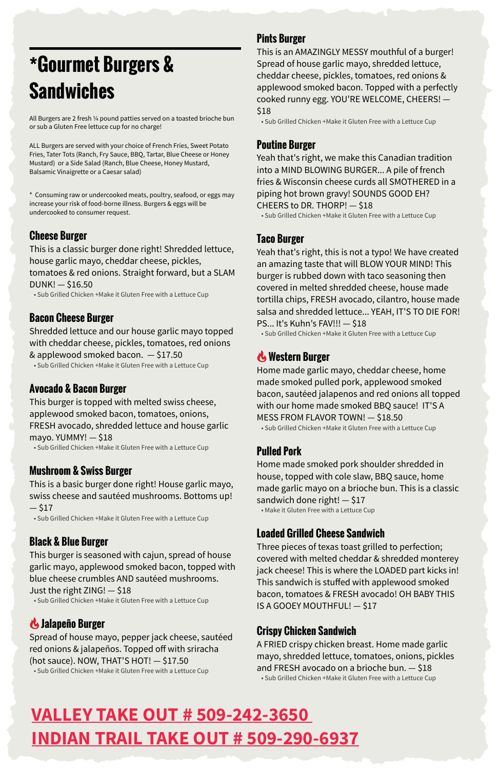# **\*Gourmet Burgers & Sandwiches**

All Burgers are 2 fresh ¼ pound patties served on a toasted brioche bun or sub a Gluten Free lettuce cup for no charge!

ALL Burgers are served with your choice of French Fries, Sweet Potato Fries, Tater Tots (Ranch, Fry Sauce, BBQ, Tartar, Blue Cheese or Honey Mustard) or a Side Salad (Ranch, Blue Cheese, Honey Mustard, Balsamic Vinaigrette or a Caesar salad)

\* Consuming raw or undercooked meats, poultry, seafood, or eggs may increase your risk of food-borne illness. Burgers & eggs will be undercooked to consumer request.

This burger is topped with melted swiss cheese, applewood smoked bacon, tomatoes, onions, FRESH avocado, shredded lettuce and house garlic mayo. YUMMY! $-$ \$18

#### **Cheese Burger**

This is a classic burger done right! Shredded lettuce, house garlic mayo, cheddar cheese, pickles, tomatoes & red onions. Straight forward, but a SLAM DUNK! — \$16.50

 $-$  \$17 • Sub Grilled Chicken +Make it Gluten Free with a Lettuce Cup

• Sub Grilled Chicken +Make it Gluten Free with a Lettuce Cup

#### **Bacon Cheese Burger**

Shredded lettuce and our house garlic mayo topped with cheddar cheese, pickles, tomatoes, red onions & applewood smoked bacon. — \$17.50

• Sub Grilled Chicken +Make it Gluten Free with a Lettuce Cup

#### **Avocado & Bacon Burger**

• Sub Grilled Chicken +Make it Gluten Free with a Lettuce Cup

#### **Mushroom & Swiss Burger**

This is a basic burger done right! House garlic mayo, swiss cheese and sautéed mushrooms. Bottoms up!

#### **Black & Blue Burger**

This burger is seasoned with cajun, spread of house garlic mayo, applewood smoked bacon, topped with blue cheese crumbles AND sautéed mushrooms. Just the right ZING! — \$18

• Sub Grilled Chicken +Make it Gluten Free with a Lettuce Cup

# '**Jalapeño Burger**

Spread of house mayo, pepper jack cheese, sautéed red onions & jalapeños. Topped off with sriracha (hot sauce). NOW, THAT'S HOT! — \$17.50 • Sub Grilled Chicken +Make it Gluten Free with a Lettuce Cup

#### **Pints Burger**

This is an AMAZINGLY MESSY mouthful of a burger! Spread of house garlic mayo, shredded lettuce, cheddar cheese, pickles, tomatoes, red onions & applewood smoked bacon. Topped with a perfectly cooked runny egg. YOU'RE WELCOME, CHEERS! — \$18

• Sub Grilled Chicken +Make it Gluten Free with a Lettuce Cup

#### **Poutine Burger**

Yeah that's right, we make this Canadian tradition into a MIND BLOWING BURGER... A pile of french fries & Wisconsin cheese curds all SMOTHERED in a piping hot brown gravy! SOUNDS GOOD EH? CHEERS to DR. THORP! — \$18 • Sub Grilled Chicken +Make it Gluten Free with a Lettuce Cup

#### **Taco Burger**

Yeah that's right, this is not a typo! We have created an amazing taste that will BLOW YOUR MIND! This burger is rubbed down with taco seasoning then covered in melted shredded cheese, house made tortilla chips, FRESH avocado, cilantro, house made salsa and shredded lettuce... YEAH, IT'S TO DIE FOR! PS... It's Kuhn's FAV!!! — \$18

• Sub Grilled Chicken +Make it Gluten Free with a Lettuce Cup

# '**Western Burger**

Home made garlic mayo, cheddar cheese, home made smoked pulled pork, applewood smoked bacon, sautéed jalapenos and red onions all topped with our home made smoked BBQ sauce! IT'S A MESS FROM FLAVOR TOWN! — \$18.50 • Sub Grilled Chicken +Make it Gluten Free with a Lettuce Cup

## **Pulled Pork**

Home made smoked pork shoulder shredded in house, topped with cole slaw, BBQ sauce, home made garlic mayo on a brioche bun. This is a classic sandwich done right! — \$17 • Make it Gluten Free with a Lettuce Cup

#### **Loaded Grilled Cheese Sandwich**

Three pieces of texas toast grilled to perfection; covered with melted cheddar & shredded monterey jack cheese! This is where the LOADED part kicks in! This sandwich is stuffed with applewood smoked bacon, tomatoes & FRESH avocado! OH BABY THIS IS A GOOEY MOUTHFUL! — \$17

#### **Crispy Chicken Sandwich**

A FRIED crispy chicken breast. Home made garlic mayo, shredded lettuce, tomatoes, onions, pickles and FRESH avocado on a brioche bun. — \$18 • Sub Grilled Chicken +Make it Gluten Free with a Lettuce Cup

# **VALLEY TAKE OUT # 509-242-3650 INDIAN TRAIL TAKE OUT # 509-290-6937**